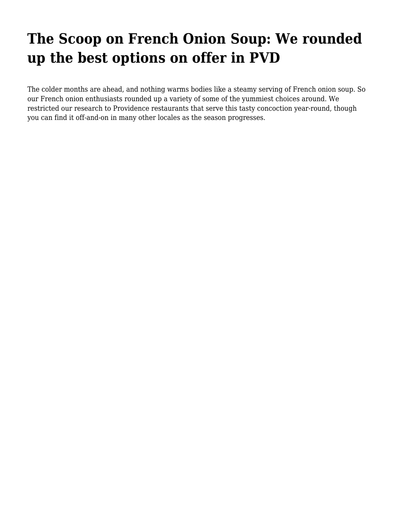# **[The Scoop on French Onion Soup: We rounded](https://motifri.com/frenchonion/) [up the best options on offer in PVD](https://motifri.com/frenchonion/)**

The colder months are ahead, and nothing warms bodies like a steamy serving of French onion soup. So our French onion enthusiasts rounded up a variety of some of the yummiest choices around. We restricted our research to Providence restaurants that serve this tasty concoction year-round, though you can find it off-and-on in many other locales as the season progresses.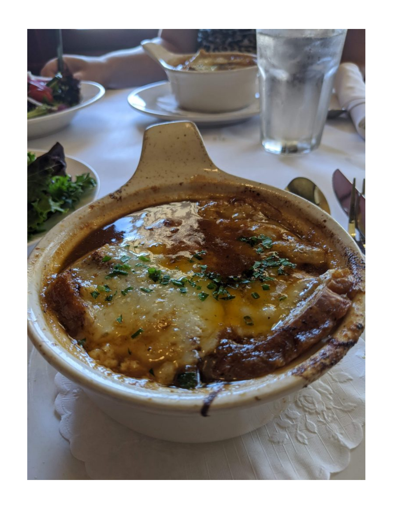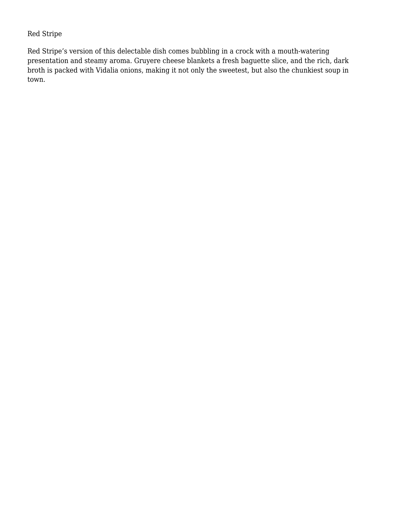## Red Stripe

Red Stripe's version of this delectable dish comes bubbling in a crock with a mouth-watering presentation and steamy aroma. Gruyere cheese blankets a fresh baguette slice, and the rich, dark broth is packed with Vidalia onions, making it not only the sweetest, but also the chunkiest soup in town.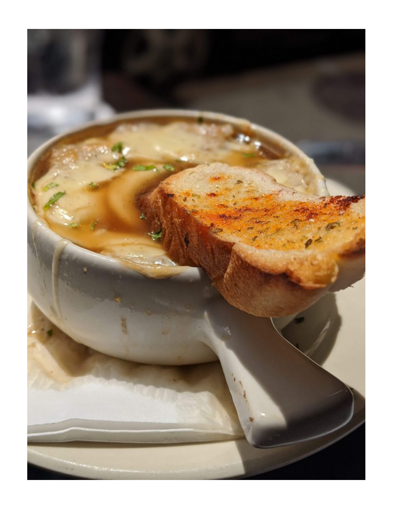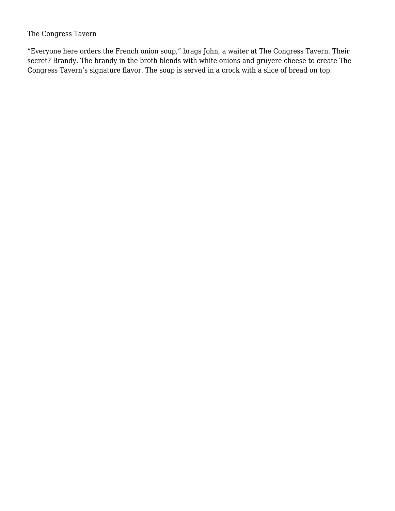The Congress Tavern

"Everyone here orders the French onion soup," brags John, a waiter at The Congress Tavern. Their secret? Brandy. The brandy in the broth blends with white onions and gruyere cheese to create The Congress Tavern's signature flavor. The soup is served in a crock with a slice of bread on top.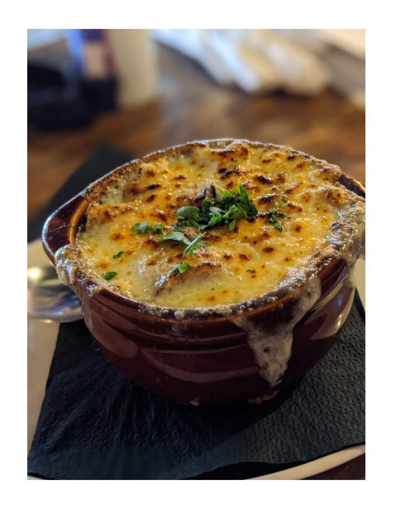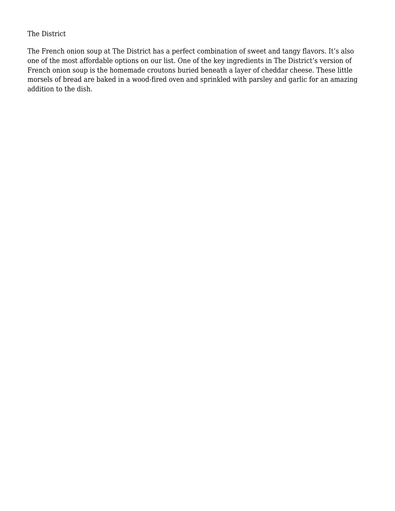### The District

The French onion soup at The District has a perfect combination of sweet and tangy flavors. It's also one of the most affordable options on our list. One of the key ingredients in The District's version of French onion soup is the homemade croutons buried beneath a layer of cheddar cheese. These little morsels of bread are baked in a wood-fired oven and sprinkled with parsley and garlic for an amazing addition to the dish.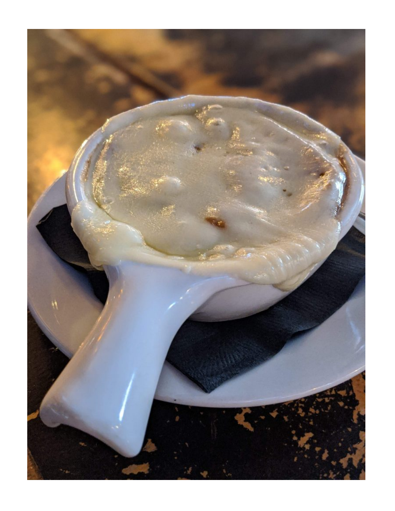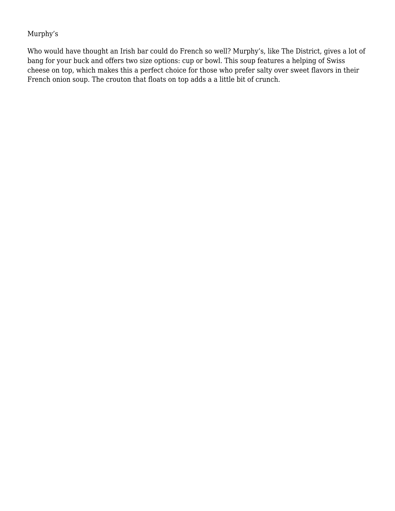## Murphy's

Who would have thought an Irish bar could do French so well? Murphy's, like The District, gives a lot of bang for your buck and offers two size options: cup or bowl. This soup features a helping of Swiss cheese on top, which makes this a perfect choice for those who prefer salty over sweet flavors in their French onion soup. The crouton that floats on top adds a a little bit of crunch.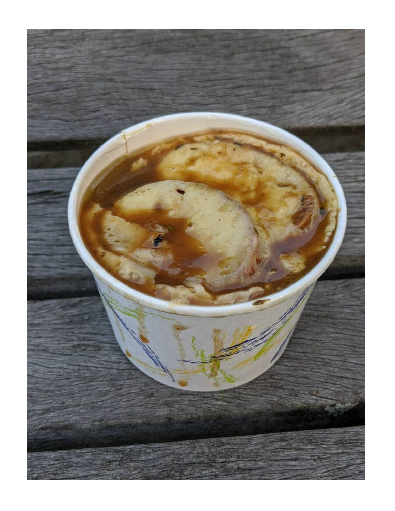